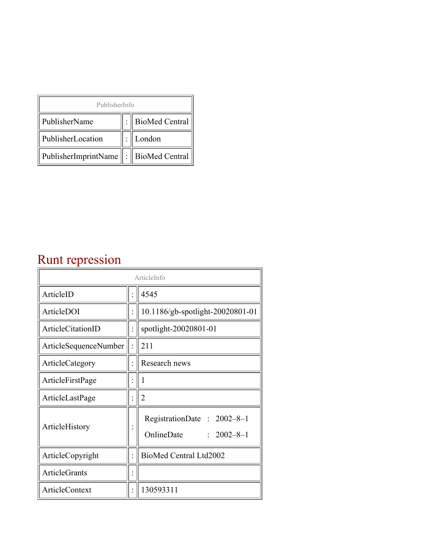| PublisherInfo                              |  |                    |  |  |
|--------------------------------------------|--|--------------------|--|--|
| PublisherName                              |  | :   BioMed Central |  |  |
| PublisherLocation                          |  | London             |  |  |
| PublisherImprintName   :    BioMed Central |  |                    |  |  |

## Runt repression

| ArticleInfo                  |  |                                                              |
|------------------------------|--|--------------------------------------------------------------|
| ArticleID                    |  | 4545                                                         |
| ArticleDOI                   |  | 10.1186/gb-spotlight-20020801-01                             |
| ArticleCitationID            |  | spotlight-20020801-01                                        |
| <b>ArticleSequenceNumber</b> |  | 211                                                          |
| ArticleCategory              |  | Research news                                                |
| ArticleFirstPage             |  | 1                                                            |
| ArticleLastPage              |  | $\overline{2}$                                               |
| ArticleHistory               |  | RegistrationDate: 2002-8-1<br>OnlineDate<br>$: 2002 - 8 - 1$ |
| ArticleCopyright             |  | BioMed Central Ltd2002                                       |
| <b>ArticleGrants</b>         |  |                                                              |
| ArticleContext               |  | 130593311                                                    |